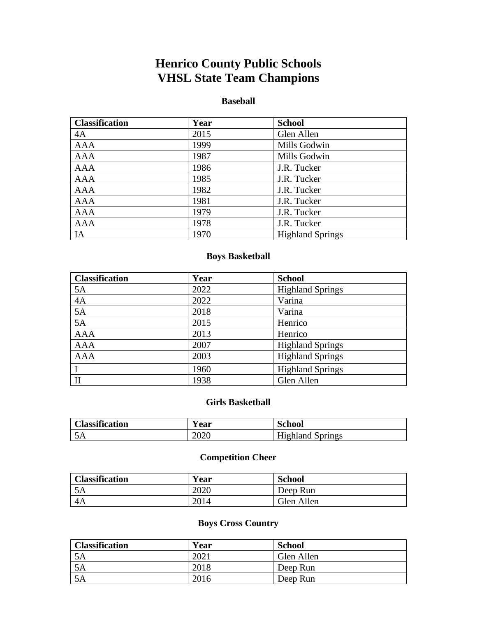# **Henrico County Public Schools VHSL State Team Champions**

#### **Baseball**

| <b>Classification</b> | Year | <b>School</b>           |
|-----------------------|------|-------------------------|
| 4A                    | 2015 | Glen Allen              |
| <b>AAA</b>            | 1999 | Mills Godwin            |
| AAA                   | 1987 | Mills Godwin            |
| <b>AAA</b>            | 1986 | J.R. Tucker             |
| <b>AAA</b>            | 1985 | J.R. Tucker             |
| <b>AAA</b>            | 1982 | J.R. Tucker             |
| <b>AAA</b>            | 1981 | J.R. Tucker             |
| <b>AAA</b>            | 1979 | J.R. Tucker             |
| <b>AAA</b>            | 1978 | J.R. Tucker             |
| IA                    | 1970 | <b>Highland Springs</b> |

#### **Boys Basketball**

| <b>Classification</b> | Year | <b>School</b>           |
|-----------------------|------|-------------------------|
| 5A                    | 2022 | <b>Highland Springs</b> |
| 4A                    | 2022 | Varina                  |
| 5A                    | 2018 | Varina                  |
| 5A                    | 2015 | Henrico                 |
| <b>AAA</b>            | 2013 | Henrico                 |
| <b>AAA</b>            | 2007 | <b>Highland Springs</b> |
| <b>AAA</b>            | 2003 | <b>Highland Springs</b> |
| $\mathbf{I}$          | 1960 | <b>Highland Springs</b> |
| $\mathbf{I}$          | 1938 | Glen Allen              |

#### **Girls Basketball**

| <b>Classification</b> | r ear | <b>School</b>           |
|-----------------------|-------|-------------------------|
| ЭA                    | 2020  | <b>Highland Springs</b> |

## **Competition Cheer**

| <b>Classification</b> | Year | <b>School</b> |
|-----------------------|------|---------------|
| 5A                    | 2020 | Deep Run      |
| 4A                    | 2014 | Glen Allen    |

## **Boys Cross Country**

| <b>Classification</b> | Year | <b>School</b> |
|-----------------------|------|---------------|
| ЭA                    | 2021 | Glen Allen    |
| 5A                    | 2018 | Deep Run      |
| ЭA                    | 2016 | Deep Run      |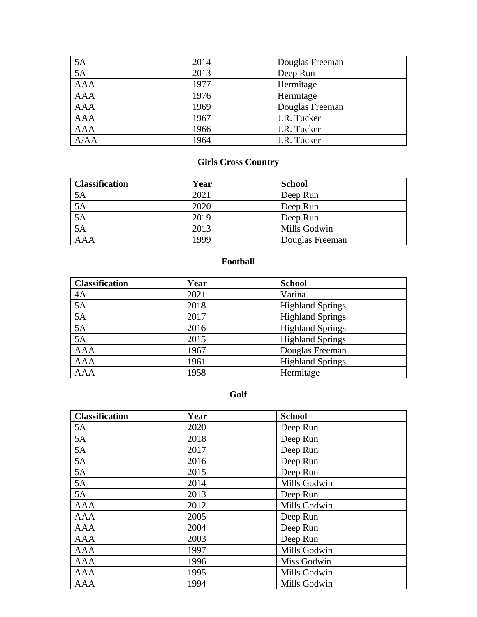| 5A         | 2014 | Douglas Freeman |
|------------|------|-----------------|
| 5A         | 2013 | Deep Run        |
| <b>AAA</b> | 1977 | Hermitage       |
| <b>AAA</b> | 1976 | Hermitage       |
| <b>AAA</b> | 1969 | Douglas Freeman |
| <b>AAA</b> | 1967 | J.R. Tucker     |
| AAA        | 1966 | J.R. Tucker     |
| A/AA       | 1964 | J.R. Tucker     |

## **Girls Cross Country**

| <b>Classification</b> | Year | <b>School</b>   |
|-----------------------|------|-----------------|
| 5A                    | 2021 | Deep Run        |
| $\overline{5A}$       | 2020 | Deep Run        |
| 5A                    | 2019 | Deep Run        |
| $5\overline{A}$       | 2013 | Mills Godwin    |
| $\overline{A}$        | 1999 | Douglas Freeman |

## **Football**

| <b>Classification</b> | Year | <b>School</b>           |
|-----------------------|------|-------------------------|
| 4A                    | 2021 | Varina                  |
| 5A                    | 2018 | <b>Highland Springs</b> |
| 5A                    | 2017 | <b>Highland Springs</b> |
| 5A                    | 2016 | <b>Highland Springs</b> |
| 5A                    | 2015 | <b>Highland Springs</b> |
| <b>AAA</b>            | 1967 | Douglas Freeman         |
| <b>AAA</b>            | 1961 | <b>Highland Springs</b> |
| <b>AAA</b>            | 1958 | Hermitage               |

#### **Golf**

| <b>Classification</b> | Year | <b>School</b> |
|-----------------------|------|---------------|
| 5A                    | 2020 | Deep Run      |
| 5A                    | 2018 | Deep Run      |
| 5A                    | 2017 | Deep Run      |
| 5A                    | 2016 | Deep Run      |
| 5A                    | 2015 | Deep Run      |
| 5A                    | 2014 | Mills Godwin  |
| 5A                    | 2013 | Deep Run      |
| <b>AAA</b>            | 2012 | Mills Godwin  |
| <b>AAA</b>            | 2005 | Deep Run      |
| <b>AAA</b>            | 2004 | Deep Run      |
| <b>AAA</b>            | 2003 | Deep Run      |
| <b>AAA</b>            | 1997 | Mills Godwin  |
| AAA                   | 1996 | Miss Godwin   |
| <b>AAA</b>            | 1995 | Mills Godwin  |
| <b>AAA</b>            | 1994 | Mills Godwin  |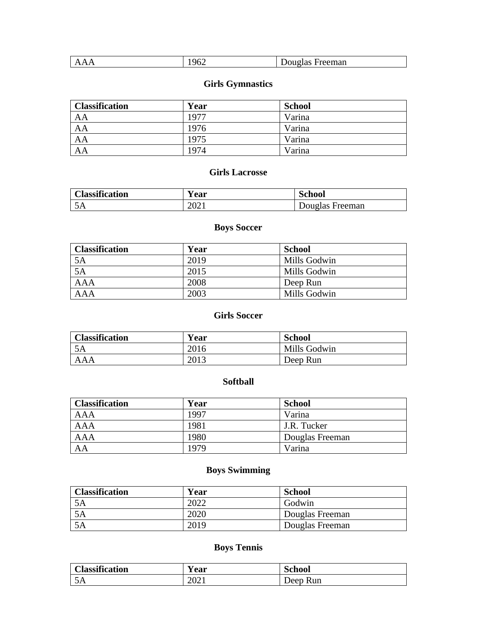| ۵۴۰<br>reeman<br>$\prime$<br>-148<br>-<br>$U \sim$<br>$\overline{1}$<br>. .<br>.<br>- |
|---------------------------------------------------------------------------------------|
|---------------------------------------------------------------------------------------|

## **Girls Gymnastics**

| <b>Classification</b> | Year | <b>School</b> |
|-----------------------|------|---------------|
| AA                    | 1977 | Varina        |
| AA                    | 1976 | Varina        |
| AA                    | 1975 | Varina        |
| AA                    | 1974 | Varina        |

#### **Girls Lacrosse**

| <b>Classification</b> | Y ear            | <b>School</b>   |
|-----------------------|------------------|-----------------|
| ЭA                    | 202 <sub>1</sub> | Douglas Freeman |

## **Boys Soccer**

| <b>Classification</b> | Year | <b>School</b> |
|-----------------------|------|---------------|
| 5A                    | 2019 | Mills Godwin  |
| 5A                    | 2015 | Mills Godwin  |
| <b>AAA</b>            | 2008 | Deep Run      |
| <b>AAA</b>            | 2003 | Mills Godwin  |

## **Girls Soccer**

| <b>Classification</b> | Year | <b>School</b> |
|-----------------------|------|---------------|
| 5A                    | 2016 | Mills Godwin  |
| <b>AAA</b>            | 2013 | Deep Run      |

#### **Softball**

| <b>Classification</b> | Year | <b>School</b>   |
|-----------------------|------|-----------------|
| AAA                   | 1997 | Varina          |
| AAA                   | 1981 | J.R. Tucker     |
| AAA                   | 1980 | Douglas Freeman |
| AA                    | 1979 | Varina          |

## **Boys Swimming**

| <b>Classification</b> | Year | School          |
|-----------------------|------|-----------------|
| 5A                    | 2022 | Godwin          |
| 5A                    | 2020 | Douglas Freeman |
| 5A                    | 2019 | Douglas Freeman |

## **Boys Tennis**

| <b>Classification</b> | <b>Year</b> | School   |
|-----------------------|-------------|----------|
| $\sim$ $\sim$<br>J/A  | 2021        | Deep Run |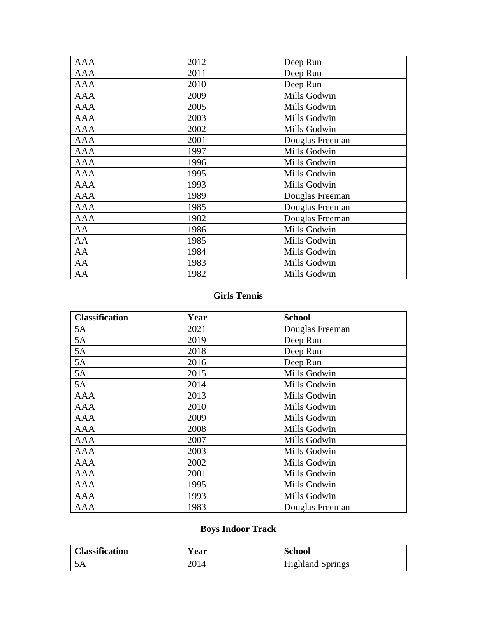| <b>AAA</b> | 2012 | Deep Run        |
|------------|------|-----------------|
| AAA        | 2011 | Deep Run        |
| <b>AAA</b> | 2010 | Deep Run        |
| <b>AAA</b> | 2009 | Mills Godwin    |
| <b>AAA</b> | 2005 | Mills Godwin    |
| <b>AAA</b> | 2003 | Mills Godwin    |
| <b>AAA</b> | 2002 | Mills Godwin    |
| <b>AAA</b> | 2001 | Douglas Freeman |
| <b>AAA</b> | 1997 | Mills Godwin    |
| <b>AAA</b> | 1996 | Mills Godwin    |
| <b>AAA</b> | 1995 | Mills Godwin    |
| <b>AAA</b> | 1993 | Mills Godwin    |
| <b>AAA</b> | 1989 | Douglas Freeman |
| <b>AAA</b> | 1985 | Douglas Freeman |
| <b>AAA</b> | 1982 | Douglas Freeman |
| AA         | 1986 | Mills Godwin    |
| AA         | 1985 | Mills Godwin    |
| AA         | 1984 | Mills Godwin    |
| AA         | 1983 | Mills Godwin    |
| AA         | 1982 | Mills Godwin    |

#### **Girls Tennis**

| <b>Classification</b> | Year | <b>School</b>   |
|-----------------------|------|-----------------|
| 5A                    | 2021 | Douglas Freeman |
| 5A                    | 2019 | Deep Run        |
| 5A                    | 2018 | Deep Run        |
| 5A                    | 2016 | Deep Run        |
| 5A                    | 2015 | Mills Godwin    |
| 5A                    | 2014 | Mills Godwin    |
| <b>AAA</b>            | 2013 | Mills Godwin    |
| <b>AAA</b>            | 2010 | Mills Godwin    |
| <b>AAA</b>            | 2009 | Mills Godwin    |
| <b>AAA</b>            | 2008 | Mills Godwin    |
| <b>AAA</b>            | 2007 | Mills Godwin    |
| <b>AAA</b>            | 2003 | Mills Godwin    |
| <b>AAA</b>            | 2002 | Mills Godwin    |
| <b>AAA</b>            | 2001 | Mills Godwin    |
| <b>AAA</b>            | 1995 | Mills Godwin    |
| <b>AAA</b>            | 1993 | Mills Godwin    |
| <b>AAA</b>            | 1983 | Douglas Freeman |

# **Boys Indoor Track**

| <b>Classification</b> | <b>Year</b> | <b>School</b>           |
|-----------------------|-------------|-------------------------|
|                       | 2014        | <b>Highland Springs</b> |